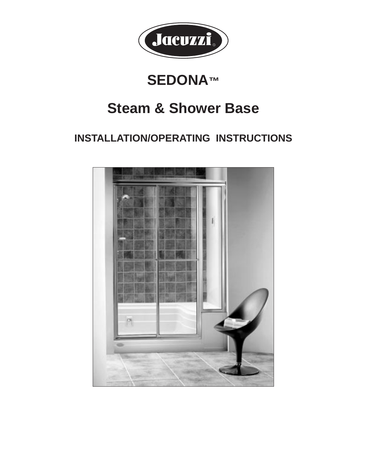

# **SEDONA™**

# **Steam & Shower Base**

# **INSTALLATION/OPERATING INSTRUCTIONS**

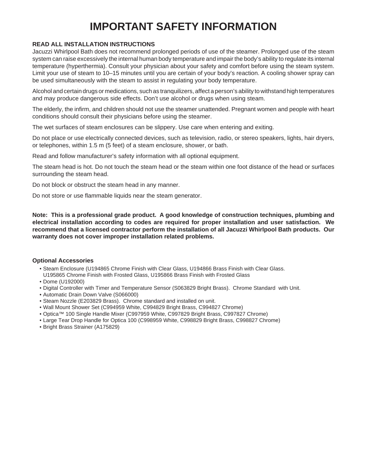# **IMPORTANT SAFETY INFORMATION**

#### **READ ALL INSTALLATION INSTRUCTIONS**

Jacuzzi Whirlpool Bath does not recommend prolonged periods of use of the steamer. Prolonged use of the steam system can raise excessively the internal human body temperature and impair the body's ability to regulate its internal temperature (hyperthermia). Consult your physician about your safety and comfort before using the steam system. Limit your use of steam to 10–15 minutes until you are certain of your body's reaction. A cooling shower spray can be used simultaneously with the steam to assist in regulating your body temperature.

Alcohol and certain drugs or medications, such as tranquilizers, affect a person's ability to withstand high temperatures and may produce dangerous side effects. Don't use alcohol or drugs when using steam.

The elderly, the infirm, and children should not use the steamer unattended. Pregnant women and people with heart conditions should consult their physicians before using the steamer.

The wet surfaces of steam enclosures can be slippery. Use care when entering and exiting.

Do not place or use electrically connected devices, such as television, radio, or stereo speakers, lights, hair dryers, or telephones, within 1.5 m (5 feet) of a steam enclosure, shower, or bath.

Read and follow manufacturer's safety information with all optional equipment.

The steam head is hot. Do not touch the steam head or the steam within one foot distance of the head or surfaces surrounding the steam head.

Do not block or obstruct the steam head in any manner.

Do not store or use flammable liquids near the steam generator.

**Note: This is a professional grade product. A good knowledge of construction techniques, plumbing and electrical installation according to codes are required for proper installation and user satisfaction. We recommend that a licensed contractor perform the installation of all Jacuzzi Whirlpool Bath products. Our warranty does not cover improper installation related problems.**

#### **Optional Accessories**

- Steam Enclosure (U194865 Chrome Finish with Clear Glass, U194866 Brass Finish with Clear Glass.
- U195865 Chrome Finish with Frosted Glass, U195866 Brass Finish with Frosted Glass
- Dome (U192000)
- Digital Controller with Timer and Temperature Sensor (S063829 Bright Brass). Chrome Standard with Unit.
- Automatic Drain Down Valve (S066000)
- Steam Nozzle (E203829 Brass). Chrome standard and installed on unit.
- Wall Mount Shower Set (C994959 White, C994829 Bright Brass, C994827 Chrome)
- Optica™ 100 Single Handle Mixer (C997959 White, C997829 Bright Brass, C997827 Chrome)
- Large Tear Drop Handle for Optica 100 (C998959 White, C998829 Bright Brass, C998827 Chrome)
- Bright Brass Strainer (A175829)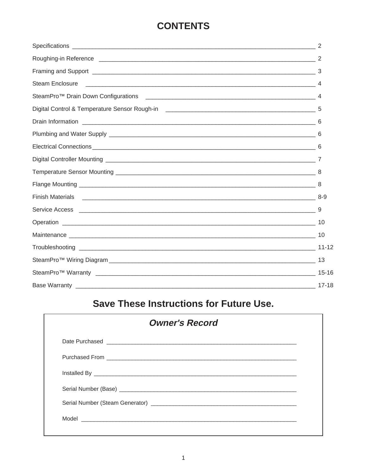## **CONTENTS**

| Steam Enclosure |  |
|-----------------|--|
|                 |  |
|                 |  |
|                 |  |
|                 |  |
|                 |  |
|                 |  |
|                 |  |
|                 |  |
|                 |  |
|                 |  |
|                 |  |
|                 |  |
|                 |  |
|                 |  |
|                 |  |
|                 |  |
|                 |  |

# **Save These Instructions for Future Use.**

| <b>Owner's Record</b>                   |  |
|-----------------------------------------|--|
| Date Purchased <b>Date of Purchased</b> |  |
|                                         |  |
|                                         |  |
|                                         |  |
|                                         |  |
|                                         |  |
|                                         |  |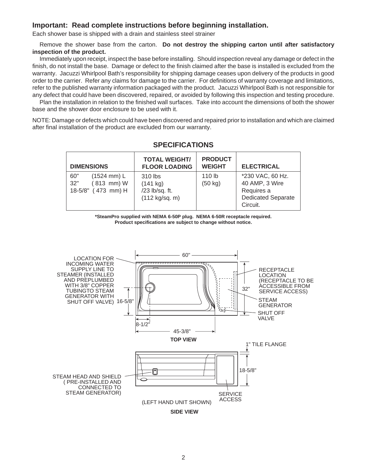### **Important: Read complete instructions before beginning installation.**

Each shower base is shipped with a drain and stainless steel strainer

Remove the shower base from the carton. **Do not destroy the shipping carton until after satisfactory inspection of the product.**

Immediately upon receipt, inspect the base before installing. Should inspection reveal any damage or defect in the finish, do not install the base. Damage or defect to the finish claimed after the base is installed is excluded from the warranty. Jacuzzi Whirlpool Bath's responsibility for shipping damage ceases upon delivery of the products in good order to the carrier. Refer any claims for damage to the carrier. For definitions of warranty coverage and limitations, refer to the published warranty information packaged with the product. Jacuzzi Whirlpool Bath is not responsible for any defect that could have been discovered, repaired, or avoided by following this inspection and testing procedure.

Plan the installation in relation to the finished wall surfaces. Take into account the dimensions of both the shower base and the shower door enclosure to be used with it.

NOTE: Damage or defects which could have been discovered and repaired prior to installation and which are claimed after final installation of the product are excluded from our warranty.

| <b>DIMENSIONS</b>                                                              | <b>TOTAL WEIGHT/</b><br><b>FLOOR LOADING</b>                      | <b>PRODUCT</b><br><b>WEIGHT</b>        | <b>ELECTRICAL</b>                                                                         |
|--------------------------------------------------------------------------------|-------------------------------------------------------------------|----------------------------------------|-------------------------------------------------------------------------------------------|
| $(1524 \, \text{mm}) L$<br>60"<br>32"<br>$(813$ mm $) W$<br>18-5/8" (473 mm) H | 310 lbs<br>(141 kg)<br>/23 lb/sq. ft.<br>$(112 \text{ kg/sq. m})$ | 110 <sub>lb</sub><br>$(50 \text{ kg})$ | *230 VAC, 60 Hz.<br>40 AMP, 3 Wire<br>Requires a<br><b>Dedicated Separate</b><br>Circuit. |

## **SPECIFICATIONS**

**\*SteamPro supplied with NEMA 6-50P plug. NEMA 6-50R receptacle required. Product specifications are subject to change without notice.**

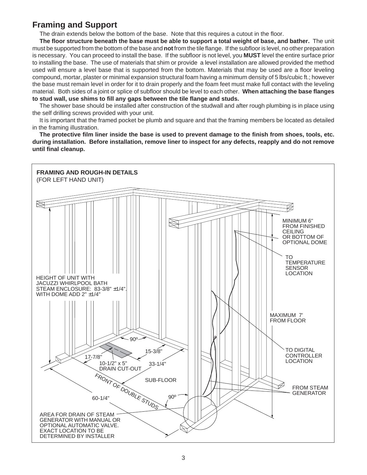## **Framing and Support**

The drain extends below the bottom of the base. Note that this requires a cutout in the floor.

**The floor structure beneath the base must be able to support a total weight of base, and bather.** The unit must be supported from the bottom of the base and **not** from the tile flange. If the subfloor is level, no other preparation is necessary. You can proceed to install the base.If the subfloor is not level, you **MUST** level the entire surface prior to installing the base. The use of materials that shim or provide a level installation are allowed provided the method used will ensure a level base that is supported from the bottom. Materials that may be used are a floor leveling compound, mortar, plaster or minimal expansion structural foam having a minimum density of 5 lbs/cubic ft.; however the base must remain level in order for it to drain properly and the foam feet must make full contact with the leveling material. Both sides of a joint or splice of subfloor should be level to each other. **When attaching the base flanges to stud wall, use shims to fill any gaps between the tile flange and studs.**

The shower base should be installed after construction of the studwall and after rough plumbing is in place using the self drilling screws provided with your unit.

It is important that the framed pocket be plumb and square and that the framing members be located as detailed in the framing illustration.

**The protective film liner inside the base is used to prevent damage to the finish from shoes, tools, etc. during installation. Before installation, remove liner to inspect for any defects, reapply and do not remove until final cleanup.**

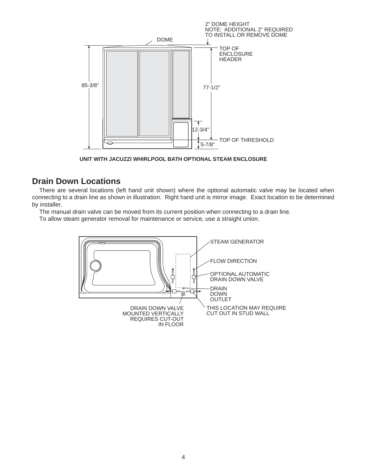

**UNIT WITH JACUZZI WHIRLPOOL BATH OPTIONAL STEAM ENCLOSURE**

## **Drain Down Locations**

There are several locations (left hand unit shown) where the optional automatic valve may be located when connecting to a drain line as shown in illustration. Right hand unit is mirror image. Exact location to be determined by installer.

The manual drain valve can be moved from its current position when connecting to a drain line.

To allow steam generator removal for maintenance or service, use a straight union.

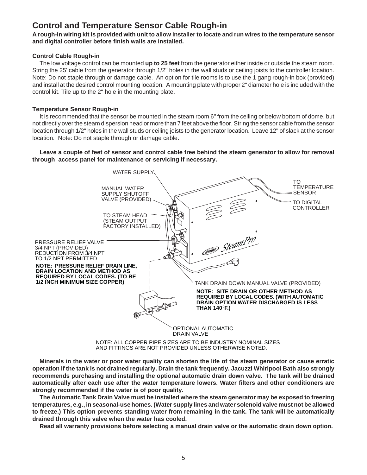## **Control and Temperature Sensor Cable Rough-in**

**A rough-in wiring kit is provided with unit to allow installer to locate and run wires to the temperature sensor and digital controller before finish walls are installed.**

#### **Control Cable Rough-in**

The low voltage control can be mounted **up to 25 feet** from the generator either inside or outside the steam room. String the 25' cable from the generator through 1/2" holes in the wall studs or ceiling joists to the controller location. Note: Do not staple through or damage cable. An option for tile rooms is to use the 1 gang rough-in box (provided) and install at the desired control mounting location. A mounting plate with proper 2" diameter hole is included with the control kit. Tile up to the 2" hole in the mounting plate.

#### **Temperature Sensor Rough-in**

It is recommended that the sensor be mounted in the steam room 6" from the ceiling or below bottom of dome, but not directly over the steam dispersion head or more than 7 feet above the floor. String the sensor cable from the sensor location through 1/2" holes in the wall studs or ceiling joists to the generator location. Leave 12" of slack at the sensor location. Note: Do not staple through or damage cable.

**Leave a couple of feet of sensor and control cable free behind the steam generator to allow for removal through access panel for maintenance or servicing if necessary.**



AND FITTINGS ARE NOT PROVIDED UNLESS OTHERWISE NOTED.

**Minerals in the water or poor water quality can shorten the life of the steam generator or cause erratic operation if the tank is not drained regularly. Drain the tank frequently. Jacuzzi Whirlpool Bath also strongly recommends purchasing and installing the optional automatic drain down valve. The tank will be drained automatically after each use after the water temperature lowers. Water filters and other conditioners are strongly recommended if the water is of poor quality.**

**The Automatic Tank Drain Valve must be installed where the steam generator may be exposed to freezing temperatures, e.g., in seasonal-use homes. (Water supply lines and water solenoid valve must not be allowed to freeze.) This option prevents standing water from remaining in the tank. The tank will be automatically drained through this valve when the water has cooled.**

**Read all warranty provisions before selecting a manual drain valve or the automatic drain down option.**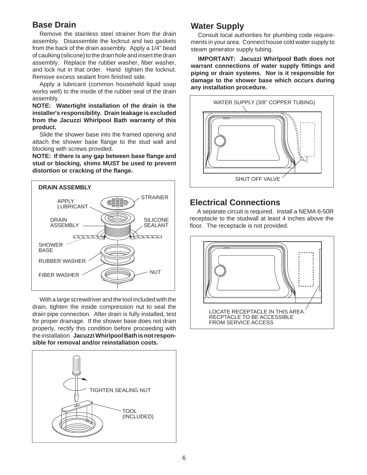## **Base Drain**

Remove the stainless steel strainer from the drain assembly. Disassemble the locknut and two gaskets from the back of the drain assembly. Apply a 1/4" bead of caulking (silicone) to the drain hole and insert the drain assembly. Replace the rubber washer, fiber washer, and lock nut in that order. Hand tighten the locknut. Remove excess sealant from finished side.

Apply a lubricant (common household liquid soap works well) to the inside of the rubber seal of the drain assembly.

**NOTE: Watertight installation of the drain is the installer's responsibility. Drain leakage is excluded from the Jacuzzi Whirlpool Bath warranty of this product.**

Slide the shower base into the framed opening and attach the shower base flange to the stud wall and blocking with screws provided.

**NOTE: If there is any gap between base flange and stud or blocking, shims MUST be used to prevent distortion or cracking of the flange.**



With a large screwdriver and the tool included with the drain, tighten the inside compression nut to seal the drain pipe connection. After drain is fully installed, test for proper drainage. If the shower base does not drain properly, rectify this condition before proceeding with the installation. **Jacuzzi Whirlpool Bath is not responsible for removal and/or reinstallation costs.**



## **Water Supply**

Consult local authorities for plumbing code requirements in your area. Connect house cold water supply to steam generator supply tubing.

**IMPORTANT: Jacuzzi Whirlpool Bath does not warrant connections of water supply fittings and piping or drain systems. Nor is it responsible for damage to the shower base which occurs during any installation procedure.**



## **Electrical Connections**

A separate circuit is required. Install a NEMA 6-50R receptacle to the studwall at least 4 inches above the floor. The receptacle is not provided.

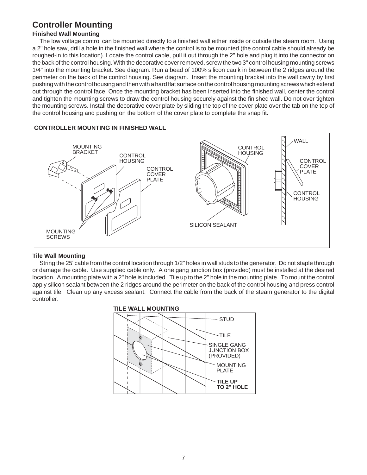## **Controller Mounting**

### **Finished Wall Mounting**

The low voltage control can be mounted directly to a finished wall either inside or outside the steam room. Using a 2" hole saw, drill a hole in the finished wall where the control is to be mounted (the control cable should already be roughed-in to this location). Locate the control cable, pull it out through the 2" hole and plug it into the connector on the back of the control housing. With the decorative cover removed, screw the two 3" control housing mounting screws 1/4" into the mounting bracket. See diagram. Run a bead of 100% silicon caulk in between the 2 ridges around the perimeter on the back of the control housing. See diagram. Insert the mounting bracket into the wall cavity by first pushing with the control housing and then with a hard flat surface on the control housing mounting screws which extend out through the control face. Once the mounting bracket has been inserted into the finished wall, center the control and tighten the mounting screws to draw the control housing securely against the finished wall. Do not over tighten the mounting screws. Install the decorative cover plate by sliding the top of the cover plate over the tab on the top of the control housing and pushing on the bottom of the cover plate to complete the snap fit.



#### **CONTROLLER MOUNTING IN FINISHED WALL**

#### **Tile Wall Mounting**

String the 25' cable from the control location through 1/2" holes in wall studs to the generator. Do not staple through or damage the cable. Use supplied cable only. A one gang junction box (provided) must be installed at the desired location. A mounting plate with a 2" hole is included. Tile up to the 2" hole in the mounting plate. To mount the control apply silicon sealant between the 2 ridges around the perimeter on the back of the control housing and press control against tile. Clean up any excess sealant. Connect the cable from the back of the steam generator to the digital controller.

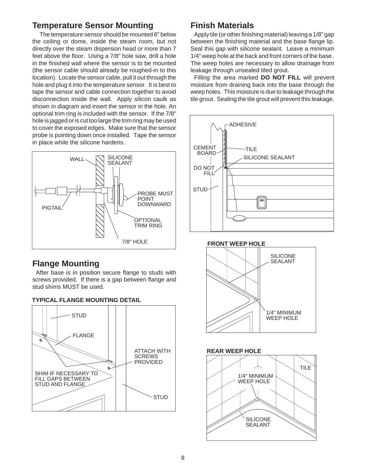## **Temperature Sensor Mounting**

The temperature sensor should be mounted 6" below the ceiling or dome, inside the steam room, but not directly over the steam dispersion head or more than 7 feet above the floor. Using a 7/8" hole saw, drill a hole in the finished wall where the sensor is to be mounted (the sensor cable should already be roughed-in to this location). Locate the sensor cable, pull it out through the hole and plug it into the temperature sensor. It is best to tape the sensor and cable connection together to avoid disconnection inside the wall. Apply silicon caulk as shown in diagram and insert the sensor in the hole. An optional trim ring is included with the sensor. If the 7/8" hole is jagged or is cut too large the trim ring may be used to cover the exposed edges. Make sure that the sensor probe is pointing down once installed. Tape the sensor in place while the silicone hardens.



## **Flange Mounting**

After base is in position secure flange to studs with screws provided. If there is a gap between flange and stud shims MUST be used.





## **Finish Materials**

Apply tile (or other finishing material) leaving a 1/8" gap between the finishing material and the base flange lip. Seal this gap with silicone sealant. Leave a minimum 1/4" weep hole at the back and front corners of the base . The weep holes are necessary to allow drainage from leakage through unsealed tiled grout.

Filling the area marked **DO NOT FILL** will prevent moisture from draining back into the base through the weep holes. This moisture is due to leakage through the tile grout. Sealing the tile grout will prevent this leakage.



**FRONT WEEP HOLE**





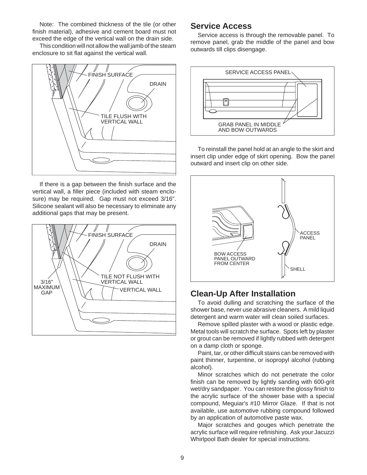Note: The combined thickness of the tile (or other finish material), adhesive and cement board must not exceed the edge of the vertical wall on the drain side.

This condition will not allow the wall jamb of the steam enclosure to sit flat against the vertical wall.



If there is a gap between the finish surface and the vertical wall, a filler piece (included with steam enclosure) may be required. Gap must not exceed 3/16". Silicone sealant will also be necessary to eliminate any additional gaps that may be present.



## **Service Access**

Service access is through the removable panel. To remove panel, grab the middle of the panel and bow outwards till clips disengage.



To reinstall the panel hold at an angle to the skirt and insert clip under edge of skirt opening. Bow the panel outward and insert clip on other side.



## **Clean-Up After Installation**

To avoid dulling and scratching the surface of the shower base, never use abrasive cleaners. A mild liquid detergent and warm water will clean soiled surfaces.

Remove spilled plaster with a wood or plastic edge. Metal tools will scratch the surface. Spots left by plaster or grout can be removed if lightly rubbed with detergent on a damp cloth or sponge.

Paint, tar, or other difficult stains can be removed with paint thinner, turpentine, or isopropyl alcohol (rubbing alcohol).

Minor scratches which do not penetrate the color finish can be removed by lightly sanding with 600-grit wet/dry sandpaper. You can restore the glossy finish to the acrylic surface of the shower base with a special compound, Meguiar's #10 Mirror Glaze. If that is not available, use automotive rubbing compound followed by an application of automotive paste wax.

Major scratches and gouges which penetrate the acrylic surface will require refinishing. Ask your Jacuzzi Whirlpool Bath dealer for special instructions.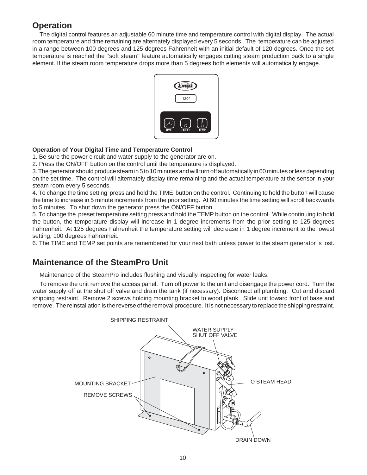## **Operation**

The digital control features an adjustable 60 minute time and temperature control with digital display. The actual room temperature and time remaining are alternately displayed every 5 seconds. The temperature can be adjusted in a range between 100 degrees and 125 degrees Fahrenheit with an initial default of 120 degrees. Once the set temperature is reached the ''soft steam'' feature automatically engages cutting steam production back to a single element. If the steam room temperature drops more than 5 degrees both elements will automatically engage.



### **Operation of Your Digital Time and Temperature Control**

1. Be sure the power circuit and water supply to the generator are on.

2. Press the ON/OFF button on the control until the temperature is displayed.

3. The generator should produce steam in 5 to 10 minutes and will turn off automatically in 60 minutes or less depending on the set time. The control will alternately display time remaining and the actual temperature at the sensor in your steam room every 5 seconds.

4. To change the time setting press and hold the TIME button on the control. Continuing to hold the button will cause the time to increase in 5 minute increments from the prior setting. At 60 minutes the time setting will scroll backwards to 5 minutes. To shut down the generator press the ON/OFF button.

5. To change the preset temperature setting press and hold the TEMP button on the control. While continuing to hold the button, the temperature display will increase in 1 degree increments from the prior setting to 125 degrees Fahrenheit. At 125 degrees Fahrenheit the temperature setting will decrease in 1 degree increment to the lowest setting, 100 degrees Fahrenheit.

6. The TIME and TEMP set points are remembered for your next bath unless power to the steam generator is lost.

## **Maintenance of the SteamPro Unit**

Maintenance of the SteamPro includes flushing and visually inspecting for water leaks.

To remove the unit remove the access panel. Turn off power to the unit and disengage the power cord. Turn the water supply off at the shut off valve and drain the tank (if necessary). Disconnect all plumbing. Cut and discard shipping restraint. Remove 2 screws holding mounting bracket to wood plank. Slide unit toward front of base and remove. The reinstallation is the reverse of the removal procedure. It is not necessary to replace the shipping restraint.

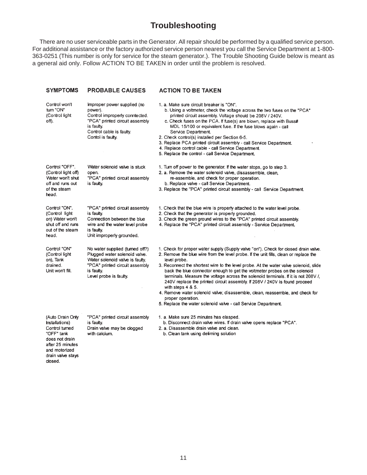## **Troubleshooting**

There are no user serviceable parts in the Generator. All repair should be performed by a qualified service person. For additional assistance or the factory authorized service person nearest you call the Service Department at 1-800- 363-0251 (This number is only for service for the steam generator.). The Trouble Shooting Guide below is meant as a general aid only. Follow ACTION TO BE TAKEN in order until the problem is resolved.

| <b>SYMPTOMS</b>                                                                                                                                          | <b>PROBABLE CAUSES</b>                                                                                                                                                        | <b>ACTION TO BE TAKEN</b>                                                                                                                                                                                                                                                                                                                                                                                                                                                                                                                                                                                                                                                                                                               |
|----------------------------------------------------------------------------------------------------------------------------------------------------------|-------------------------------------------------------------------------------------------------------------------------------------------------------------------------------|-----------------------------------------------------------------------------------------------------------------------------------------------------------------------------------------------------------------------------------------------------------------------------------------------------------------------------------------------------------------------------------------------------------------------------------------------------------------------------------------------------------------------------------------------------------------------------------------------------------------------------------------------------------------------------------------------------------------------------------------|
| Control won't<br>turn "ON"<br>(Control light<br>off).                                                                                                    | Improper power supplied (no<br>power).<br>Control improperly conntected.<br>"PCA" printed circuit assembly<br>is faulty.<br>Control cable is faulty.<br>Contol is faulty.     | 1. a. Make sure circuit breaker is "ON".<br>b. Using a voltmeter, check the voltage across the two fuses on the "PCA"<br>printed circuit assembly. Voltage should be 208V / 240V.<br>c. Check fuses on the PCA. If fuse(s) are blown, replace with Buss#<br>MDL 15/100 or equivalent fuse. If the fuse blows again - call<br>Service Department.<br>2. Check control(s) installed per Section 6-5.<br>3. Replace PCA printed circuit assembly - call Service Department.<br>4. Replace control cable - call Service Department.<br>5. Replace the control - call Service Department.                                                                                                                                                    |
| Control "OFF".<br>(Control light off)<br>Water won't shut<br>off and runs out<br>of the steam<br>head.                                                   | Water solenoid valve is stuck<br>open.<br>"PCA" printed circuit assembly<br>is faulty.                                                                                        | 1. Turn off power to the generator. If the water stops, go to step 3.<br>2. a. Remove the water solenoid valve, dissassemble, clean,<br>re-assemble, and check for proper operation.<br>b. Replace valve - call Service Department.<br>3. Replace the "PCA" printed circuit assembly - call Service Department.                                                                                                                                                                                                                                                                                                                                                                                                                         |
| Control "ON".<br>(Control light<br>on) Water won't<br>shut off and runs<br>out of the steam<br>head.                                                     | "PCA" printed circuit assembly<br>is faulty.<br>Connection between the blue<br>wire and the water level probe<br>is faulty.<br>Unit improperly grounded.                      | 1. Check that the blue wire is properly attached to the water level probe.<br>2. Check that the generator is properly grounded.<br>3. Check the green ground wires to the "PCA" printed circuit assembly.<br>4. Replace the "PCA" printed circuit assembly - Service Department.                                                                                                                                                                                                                                                                                                                                                                                                                                                        |
| Control "ON"<br>(Control light<br>on), Tank<br>drained.<br>Unit won't fill.                                                                              | No water supplied (turned off?)<br>Plugged water solenoid valve.<br>Water solenoid valve is faulty.<br>"PCA" printed circuit assembly<br>is faulty.<br>Level probe is faulty. | 1. Check for proper water supply (Supply valve "on"). Check for closed drain valve.<br>2. Remove the blue wire from the level probe. If the unit fills, clean or replace the<br>level probe.<br>3. Reconnect the shortest wire to the level probe. At the water valve solenoid, slide<br>back the blue connector enough to get the voltmeter probes on the solenoid<br>terminals. Measure the voltage across the solenoid terminals. If it is not 208V /,<br>240V replace the printed circuit assembly. If 208V / 240V is found proceed<br>with steps $4 & 5$ .<br>4. Remove water solenoid valve; disassemble, clean, reassemble, and check for<br>proper operation.<br>5. Replace the water solenoid valve - call Service Department. |
| (Auto Drain Only<br>Installations)<br>Control turned<br>"OFF" tank<br>does not drain<br>after 25 minutes<br>and motorized<br>drain valve stays<br>dosed. | "PCA" printed circuit assembly<br>is faulty.<br>Drain valve may be clogged<br>with calcium.                                                                                   | 1. a. Make sure 25 minutes has elasped.<br>b. Disconnect drain valve wires. If drain valve opens replace "PCA".<br>2. a. Disassemble drain valve and clean.<br>b. Clean tank using deliming solution                                                                                                                                                                                                                                                                                                                                                                                                                                                                                                                                    |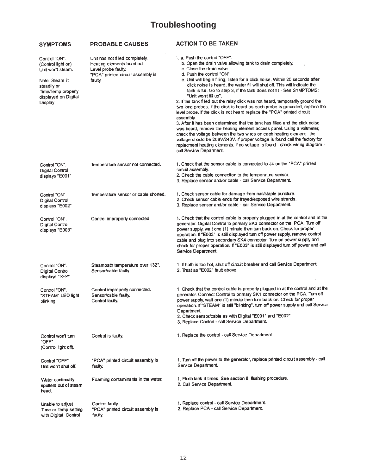# **Troubleshooting**

| <b>SYMPTOMS</b>                                                                                                                                     | <b>PROBABLE CAUSES</b>                                                                                                                | <b>ACTION TO BE TAKEN</b>                                                                                                                                                                                                                                                                                                                                                                                                                                                                                                                                                                                                                                                                                                                                                                                                                                                                                                                                                                                                                                                                                         |  |
|-----------------------------------------------------------------------------------------------------------------------------------------------------|---------------------------------------------------------------------------------------------------------------------------------------|-------------------------------------------------------------------------------------------------------------------------------------------------------------------------------------------------------------------------------------------------------------------------------------------------------------------------------------------------------------------------------------------------------------------------------------------------------------------------------------------------------------------------------------------------------------------------------------------------------------------------------------------------------------------------------------------------------------------------------------------------------------------------------------------------------------------------------------------------------------------------------------------------------------------------------------------------------------------------------------------------------------------------------------------------------------------------------------------------------------------|--|
| Control "ON".<br>(Control light on)<br>Unit won't steam.<br>Note: Steam lit<br>steadily or<br>Time/Temp properly<br>displayed on Digital<br>Display | Unit has not filled completely.<br>Heating elements burnt out.<br>Level probe faulty.<br>"PCA" printed circuit assembly is<br>faulty. | 1. a. Push the control "OFF".<br>b. Open the drain valve allowing tank to drain completely.<br>c. Close the drain valve.<br>d. Push the control "ON".<br>e. Unit will begin filling, listen for a click noise. Within 20 seconds after<br>click noise is heard, the water fill will shut off. This will indicate the<br>tank is full. Go to step 3, if the tank does not fill - See SYMPTOMS:<br>"Unit won't fill up".<br>2. If the tank filled but the relay click was not heard, temporarily ground the<br>two long probes. If the click is heard as each probe is grounded, replace the<br>level probe. If the click is not heard replace the "PCA" printed circuit<br>assembly.<br>3. After it has been determined that the tank has filled and the click noise<br>was heard, remove the heating element access panel. Using a voltmeter,<br>check the voltage between the two wires on each heating element - the<br>voltage should be 208V/240V. If proper voltage is found call the factory for<br>replacment heating elements. If no voltage is found - check wiring diagram -<br>call Service Deparment. |  |
| Control "ON".<br>Digital Control<br>displays "E001"                                                                                                 | Temperature sensor not connected.                                                                                                     | 1. Check that the sensor cable is connected to J4 on the "PCA" printed<br>circuit assembly.<br>2. Check the cable connection to the temperature sensor.<br>3. Replace sensor and/or cable - call Service Department.                                                                                                                                                                                                                                                                                                                                                                                                                                                                                                                                                                                                                                                                                                                                                                                                                                                                                              |  |
| Control "ON".<br>Digital Control<br>displays "E002"                                                                                                 | Temperature sensor or cable shorted.                                                                                                  | 1. Check sensor cable for damage from nail/staple puncture.<br>2. Check sensor cable ends for frayed/exposed wire strands.<br>3. Replace sensor and/or cable - call Service Department.                                                                                                                                                                                                                                                                                                                                                                                                                                                                                                                                                                                                                                                                                                                                                                                                                                                                                                                           |  |
| Control "ON".<br>Digital Control<br>displays "E003"                                                                                                 | Control improperly connected.                                                                                                         | 1. Check that the control cable is properly plugged in at the control and at the<br>generator. Digital Control to primary SK3 connector on the PCA. Turn off<br>power supply, wait one (1) minute then turn back on. Check for proper<br>operation. If "E003" is still displayed turn off power supply, remove control<br>cable and plug into secondary SK4 connector. Turn on power supply and<br>check for proper operation. If "E003" is still displayed turn off power and call<br>Service Department.                                                                                                                                                                                                                                                                                                                                                                                                                                                                                                                                                                                                        |  |
| Control "ON".<br><b>Digital Control</b><br>displays ">>>"                                                                                           | Steambath temperature over 132°.<br>Sensor/cable faulty.                                                                              | 1. If bath is too hot, shut off circuit breaker and call Service Department.<br>2. Treat as "E002" fault above.                                                                                                                                                                                                                                                                                                                                                                                                                                                                                                                                                                                                                                                                                                                                                                                                                                                                                                                                                                                                   |  |
| Control "ON".<br>"STEAM" LED light<br>blinking                                                                                                      | Control improperty connected.<br>Sensor/cable faulty.<br>Control faulty.                                                              | 1. Check that the control cable is properly plugged in at the control and at the<br>generator. Connect Control to primary SK1 connector on the PCA. Turn off<br>power supply, wait one (1) minute then turn back on. Check for proper<br>operation. If "STEAM" is still "blinking", turn off power supply and call Service<br>Department.<br>2. Check sensor/cable as with Digital "E001" and "E002"<br>3. Replace Control - call Service Department.                                                                                                                                                                                                                                                                                                                                                                                                                                                                                                                                                                                                                                                             |  |
| Control won't turn<br>"OFF"<br>(Control light off).                                                                                                 | Control is faulty.                                                                                                                    | 1. Replace the control - call Service Department.                                                                                                                                                                                                                                                                                                                                                                                                                                                                                                                                                                                                                                                                                                                                                                                                                                                                                                                                                                                                                                                                 |  |
| Control "OFF"<br>Unit won't shut off.                                                                                                               | "PCA" printed circuit assembly is<br>faulty.                                                                                          | 1. Turn off the power to the generator, replace printed circuit assembly - call<br>Service Department.                                                                                                                                                                                                                                                                                                                                                                                                                                                                                                                                                                                                                                                                                                                                                                                                                                                                                                                                                                                                            |  |
| Water continually<br>sputters out of steam<br>head.                                                                                                 | Foaming contaminants in the water.                                                                                                    | 1. Flush tank 3 times. See section 8, flushing procedure.<br>2. Call Service Department.                                                                                                                                                                                                                                                                                                                                                                                                                                                                                                                                                                                                                                                                                                                                                                                                                                                                                                                                                                                                                          |  |
| Unable to adjust<br>Time or Temp setting<br>with Digital Control                                                                                    | Control faulty.<br>"PCA" printed circuit assembly is<br>faulty.                                                                       | 1. Replace control - call Service Department.<br>2. Replace PCA - call Service Department.                                                                                                                                                                                                                                                                                                                                                                                                                                                                                                                                                                                                                                                                                                                                                                                                                                                                                                                                                                                                                        |  |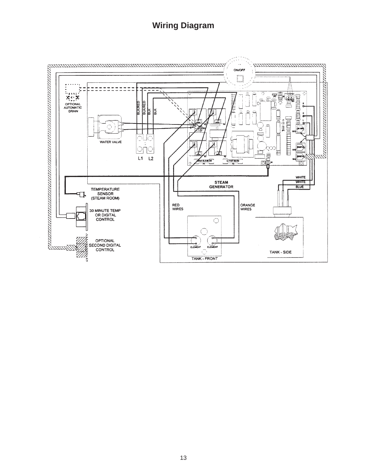## **Wiring Diagram**

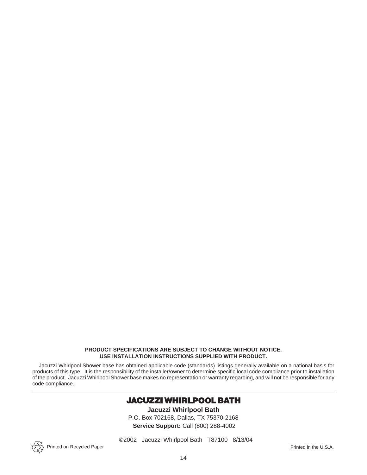#### **PRODUCT SPECIFICATIONS ARE SUBJECT TO CHANGE WITHOUT NOTICE. USE INSTALLATION INSTRUCTIONS SUPPLIED WITH PRODUCT.**

Jacuzzi Whirlpool Shower base has obtained applicable code (standards) listings generally available on a national basis for products of this type. It is the responsibility of the installer/owner to determine specific local code compliance prior to installation of the product. Jacuzzi Whirlpool Shower base makes no representation or warranty regarding, and will not be responsible for any code compliance.

## **JACUZZI WHIRLPOOL BATH**

**Jacuzzi Whirlpool Bath** P.O. Box 702168, Dallas, TX 75370-2168 **Service Support:** Call (800) 288-4002

©2002 Jacuzzi Whirlpool Bath T87100 8/13/04

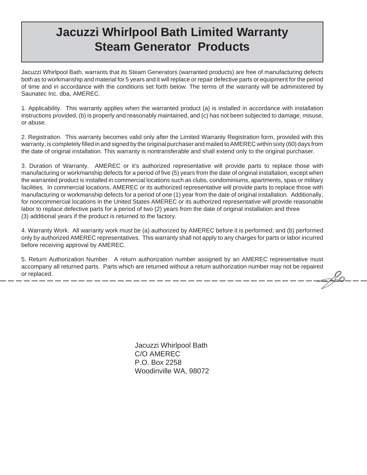# **Jacuzzi Whirlpool Bath Limited Warranty Steam Generator Products**

Jacuzzi Whirlpool Bath, warrants that its Steam Generators (warranted products) are free of manufacturing defects both as to workmanship and material for 5 years and it will replace or repair defective parts or equipment for the period of time and in accordance with the conditions set forth below. The terms of the warranty will be administered by Saunatec Inc. dba, AMEREC.

1. Applicability. This warranty applies when the warranted product (a) is installed in accordance with installation instructions provided, (b) is properly and reasonably maintained, and (c) has not been subjected to damage, misuse, or abuse.

2. Registration. This warranty becomes valid only after the Limited Warranty Registration form, provided with this warranty, is completely filled in and signed by the original purchaser and mailed to AMEREC within sixty (60) days from the date of original installation. This warranty is nontransferable and shall extend only to the original purchaser.

3. Duration of Warranty. AMEREC or it's authorized representative will provide parts to replace those with manufacturing or workmanship defects for a period of five (5) years from the date of original installation, except when the warranted product is installed in commercial locations such as clubs, condominiums, apartments, spas or military facilities. In commercial locations, AMEREC or its authorized representative will provide parts to replace those with manufacturing or workmanship defects for a period of one (1) year from the date of original installation. Additionally, for noncommercial locations in the United States AMEREC or its authorized representative will provide reasonable labor to replace defective parts for a period of two (2) years from the date of original installation and three (3) additional years if the product is returned to the factory.

4. Warranty Work. All warranty work must be (a) authorized by AMEREC before it is performed; and (b) performed only by authorized AMEREC representatives. This warranty shall not apply to any charges for parts or labor incurred before receiving approval by AMEREC.

5. Return Authorization Number. A return authorization number assigned by an AMEREC representative must accompany all returned parts. Parts which are returned without a return authorization number may not be repaired or replaced.

> Jacuzzi Whirlpool Bath C/O AMEREC P.O. Box 2258 Woodinville WA, 98072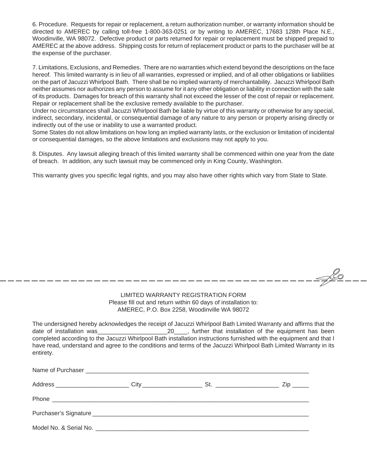6. Procedure. Requests for repair or replacement, a return authorization number, or warranty information should be directed to AMEREC by calling toll-free 1-800-363-0251 or by writing to AMEREC, 17683 128th Place N.E., Woodinville, WA 98072. Defective product or parts returned for repair or replacement must be shipped prepaid to AMEREC at the above address. Shipping costs for return of replacement product or parts to the purchaser will be at the expense of the purchaser.

7. Limitations, Exclusions, and Remedies. There are no warranties which extend beyond the descriptions on the face hereof. This limited warranty is in lieu of all warranties, expressed or implied, and of all other obligations or liabilities on the part of Jacuzzi Whirlpool Bath. There shall be no implied warranty of merchantability. Jacuzzi Whirlpool Bath neither assumes nor authorizes any person to assume for it any other obligation or liability in connection with the sale of its products. Damages for breach of this warranty shall not exceed the lesser of the cost of repair or replacement. Repair or replacement shall be the exclusive remedy available to the purchaser.

Under no circumstances shall Jacuzzi Whirlpool Bath be liable by virtue of this warranty or otherwise for any special, indirect, secondary, incidental, or consequential damage of any nature to any person or property arising directly or indirectly out of the use or inability to use a warranted product.

Some States do not allow limitations on how long an implied warranty lasts, or the exclusion or limitation of incidental or consequential damages, so the above limitations and exclusions may not apply to you.

8. Disputes. Any lawsuit alleging breach of this limited warranty shall be commenced within one year from the date of breach. In addition, any such lawsuit may be commenced only in King County, Washington.

This warranty gives you specific legal rights, and you may also have other rights which vary from State to State.

#### LIMITED WARRANTY REGISTRATION FORM Please fill out and return within 60 days of installation to: AMEREC, P.O. Box 2258, Woodinville WA 98072

FLO

The undersigned hereby acknowledges the receipt of Jacuzzi Whirlpool Bath Limited Warranty and affirms that the date of installation was and the second of the equipment has been date of installation was the equipment has been completed according to the Jacuzzi Whirlpool Bath installation instructions furnished with the equipment and that I have read, understand and agree to the conditions and terms of the Jacuzzi Whirlpool Bath Limited Warranty in its entirety.

|  | $\mathsf{Zip} \_\_\_\_\$ |
|--|--------------------------|
|  |                          |
|  |                          |
|  |                          |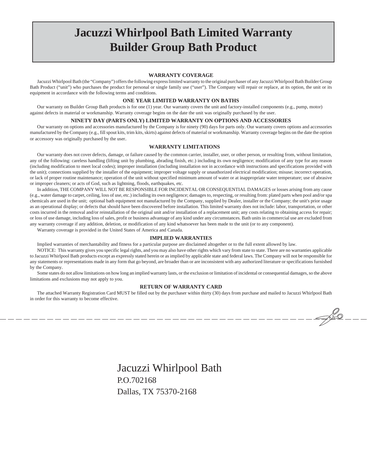# **Jacuzzi Whirlpool Bath Limited Warranty Builder Group Bath Product**

#### **WARRANTY COVERAGE**

Jacuzzi Whirlpool Bath (the "Company") offers the following express limited warranty to the original purchaser of any Jacuzzi Whirlpool Bath Builder Group Bath Product ("unit") who purchases the product for personal or single family use ("user"). The Company will repair or replace, at its option, the unit or its equipment in accordance with the following terms and conditions.

#### **ONE YEAR LIMITED WARRANTY ON BATHS**

Our warranty on Builder Group Bath products is for one (1) year. Our warranty covers the unit and factory-installed components (e.g., pump, motor) against defects in material or workmanship. Warranty coverage begins on the date the unit was originally purchased by the user.

#### **NINETY DAY (PARTS ONLY) LIMITED WARRANTY ON OPTIONS AND ACCESSORIES**

Our warranty on options and accessories manufactured by the Company is for ninety (90) days for parts only. Our warranty covers options and accessories manufactured by the Company (e.g., fill spout kits, trim kits, skirts) against defects of material or workmanship. Warranty coverage begins on the date the option or accessory was originally purchased by the user.

#### **WARRANTY LIMITATIONS**

Our warranty does not cover defects, damage, or failure caused by the common carrier, installer, user, or other person, or resulting from, without limitation, any of the following: careless handling (lifting unit by plumbing, abrading finish, etc.) including its own negligence; modification of any type for any reason (including modification to meet local codes); improper installation (including installation not in accordance with instructions and specifications provided with the unit); connections supplied by the installer of the equipment; improper voltage supply or unauthorized electrical modification; misuse; incorrect operation, or lack of proper routine maintenance; operation of the unit without specified minimum amount of water or at inappropriate water temperature; use of abrasive or improper cleaners; or acts of God, such as lightning, floods, earthquakes, etc.

In addition, THE COMPANY WILL NOT BE RESPONSIBLE FOR INCIDENTAL OR CONSEQUENTIAL DAMAGES or losses arising from any cause (e.g., water damage to carpet, ceiling, loss of use, etc.) including its own negligence; damages to, respecting, or resulting from: plated parts when pool and/or spa chemicals are used in the unit; optional bath equipment not manufactured by the Company, supplied by Dealer, installer or the Company; the unit's prior usage as an operational display; or defects that should have been discovered before installation. This limited warranty does not include: labor, transportation, or other costs incurred in the removal and/or reinstallation of the original unit and/or installation of a replacement unit; any costs relating to obtaining access for repair; or loss of use damage, including loss of sales, profit or business advantage of any kind under any circumstances. Bath units in commercial use are excluded from any warranty coverage if any addition, deletion, or modification of any kind whatsoever has been made to the unit (or to any component).

Warranty coverage is provided in the United States of America and Canada.

#### **IMPLIED WARRANTIES**

Implied warranties of merchantability and fitness for a particular purpose are disclaimed altogether or to the full extent allowed by law.

NOTICE: This warranty gives you specific legal rights, and you may also have other rights which vary from state to state. There are no warranties applicable to Jacuzzi Whirlpool Bath products except as expressly stated herein or as implied by applicable state and federal laws. The Company will not be responsible for any statements or representations made in any form that go beyond, are broader than or are inconsistent with any authorized literature or specifications furnished by the Company.

Some states do not allow limitations on how long an implied warranty lasts, or the exclusion or limitation of incidental or consequential damages, so the above limitations and exclusions may not apply to you.

#### **RETURN OF WARRANTY CARD**

The attached Warranty Registration Card MUST be filled out by the purchaser within thirty (30) days from purchase and mailed to Jacuzzi Whirlpool Bath in order for this warranty to become effective.

FLQ

Jacuzzi Whirlpool Bath P.O.702168 Dallas, TX 75370-2168